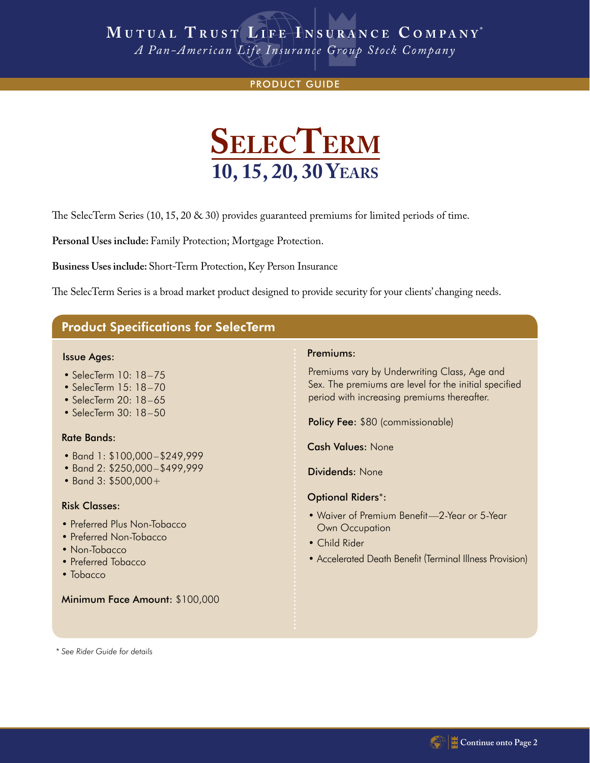# **M UTUAL T RUST L IFE I NSURANCE C OMPANY ®**

*A Pan-American Life Insurance Group Stock Company*

### PRODUCT GUIDE



The SelecTerm Series  $(10, 15, 20 \& 30)$  provides guaranteed premiums for limited periods of time.

**Personal Uses include:** Family Protection; Mortgage Protection.

 **Business Uses include:** Short-Term Protection, Key Person Insurance

The SelecTerm Series is a broad market product designed to provide security for your clients' changing needs.

# Product Specifications for SelecTerm

#### Issue Ages:

- SelecTerm 10: 18–75
- SelecTerm 15: 18–70
- SelecTerm 20: 18–65
- SelecTerm 30: 18–50

#### Rate Bands:

- Band 1: \$100,000–\$249,999
- Band 2: \$250,000–\$499,999
- Band 3: \$500,000+

#### Risk Classes:

- Preferred Plus Non-Tobacco
- Preferred Non-Tobacco
- Non-Tobacco
- Preferred Tobacco
- Tobacco

#### Minimum Face Amount: \$100,000

#### Premiums:

Premiums vary by Underwriting Class, Age and Sex. The premiums are level for the initial specified period with increasing premiums thereafter.

Policy Fee: \$80 (commissionable)

Cash Values: None

Dividends: None

### Optional Riders\*:

- Waiver of Premium Benefit—2-Year or 5-Year Own Occupation
- Child Rider
- Accelerated Death Benefit (Terminal Illness Provision)

*\* See Rider Guide for details*